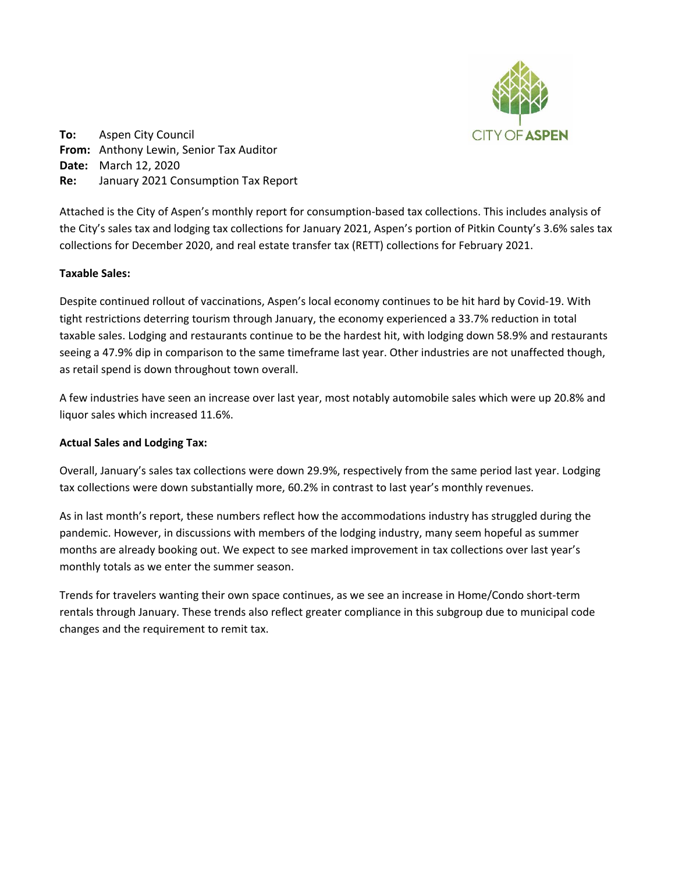

**To:** Aspen City Council **From:** Anthony Lewin, Senior Tax Auditor **Date:** March 12, 2020 **Re:** January 2021 Consumption Tax Report

Attached is the City of Aspen's monthly report for consumption-based tax collections. This includes analysis of the City's sales tax and lodging tax collections for January 2021, Aspen's portion of Pitkin County's 3.6% sales tax collections for December 2020, and real estate transfer tax (RETT) collections for February 2021.

## **Taxable Sales:**

Despite continued rollout of vaccinations, Aspen's local economy continues to be hit hard by Covid-19. With tight restrictions deterring tourism through January, the economy experienced a 33.7% reduction in total taxable sales. Lodging and restaurants continue to be the hardest hit, with lodging down 58.9% and restaurants seeing a 47.9% dip in comparison to the same timeframe last year. Other industries are not unaffected though, as retail spend is down throughout town overall.

A few industries have seen an increase over last year, most notably automobile sales which were up 20.8% and liquor sales which increased 11.6%.

## **Actual Sales and Lodging Tax:**

Overall, January's sales tax collections were down 29.9%, respectively from the same period last year. Lodging tax collections were down substantially more, 60.2% in contrast to last year's monthly revenues.

As in last month's report, these numbers reflect how the accommodations industry has struggled during the pandemic. However, in discussions with members of the lodging industry, many seem hopeful as summer months are already booking out. We expect to see marked improvement in tax collections over last year's monthly totals as we enter the summer season.

Trends for travelers wanting their own space continues, as we see an increase in Home/Condo short-term rentals through January. These trends also reflect greater compliance in this subgroup due to municipal code changes and the requirement to remit tax.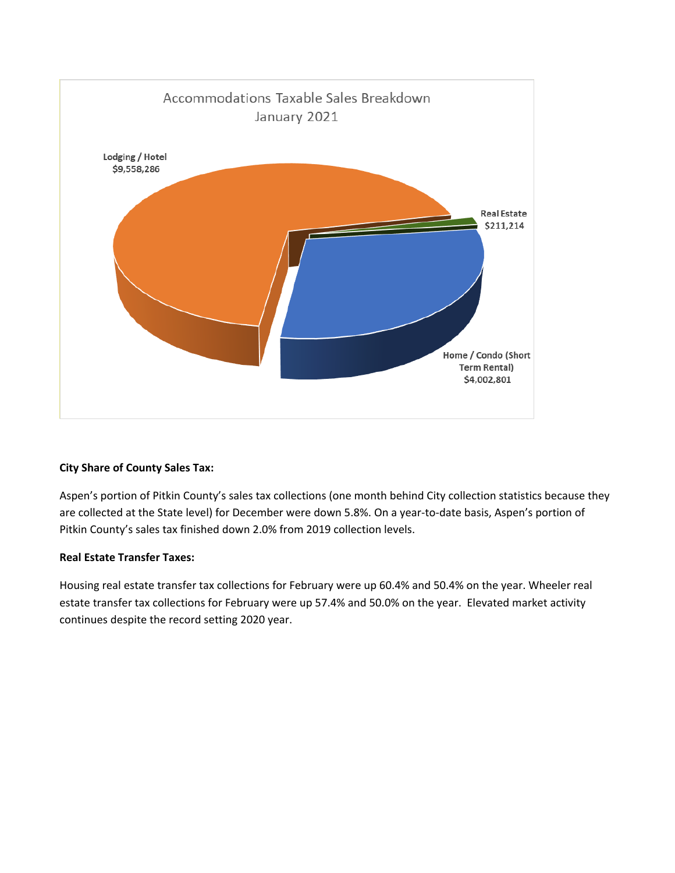

# **City Share of County Sales Tax:**

Aspen's portion of Pitkin County's sales tax collections (one month behind City collection statistics because they are collected at the State level) for December were down 5.8%. On a year-to-date basis, Aspen's portion of Pitkin County's sales tax finished down 2.0% from 2019 collection levels.

# **Real Estate Transfer Taxes:**

Housing real estate transfer tax collections for February were up 60.4% and 50.4% on the year. Wheeler real estate transfer tax collections for February were up 57.4% and 50.0% on the year. Elevated market activity continues despite the record setting 2020 year.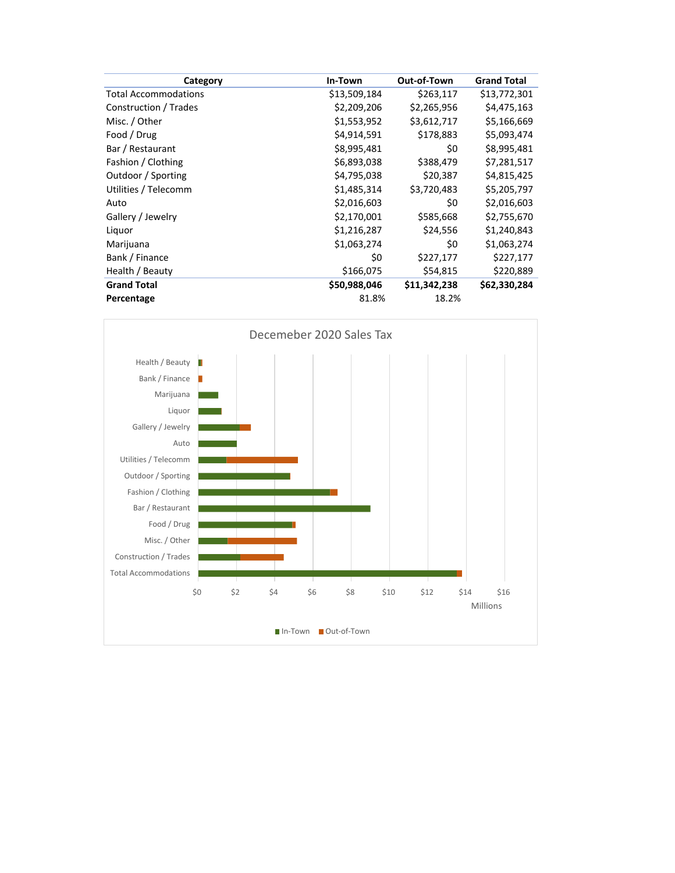| Category                    | In-Town      | Out-of-Town  | <b>Grand Total</b> |
|-----------------------------|--------------|--------------|--------------------|
| <b>Total Accommodations</b> | \$13,509,184 | \$263,117    | \$13,772,301       |
| Construction / Trades       | \$2,209,206  | \$2,265,956  | \$4,475,163        |
| Misc. / Other               | \$1,553,952  | \$3,612,717  | \$5,166,669        |
| Food / Drug                 | \$4,914,591  | \$178,883    | \$5,093,474        |
| Bar / Restaurant            | \$8,995,481  | \$0          | \$8,995,481        |
| Fashion / Clothing          | \$6,893,038  | \$388,479    | \$7,281,517        |
| Outdoor / Sporting          | \$4,795,038  | \$20,387     | \$4,815,425        |
| Utilities / Telecomm        | \$1,485,314  | \$3,720,483  | \$5,205,797        |
| Auto                        | \$2,016,603  | \$0          | \$2,016,603        |
| Gallery / Jewelry           | \$2,170,001  | \$585,668    | \$2,755,670        |
| Liquor                      | \$1,216,287  | \$24,556     | \$1,240,843        |
| Marijuana                   | \$1,063,274  | \$0          | \$1,063,274        |
| Bank / Finance              | \$0          | \$227,177    | \$227,177          |
| Health / Beauty             | \$166,075    | \$54,815     | \$220,889          |
| <b>Grand Total</b>          | \$50,988,046 | \$11,342,238 | \$62,330,284       |
| Percentage                  | 81.8%        | 18.2%        |                    |

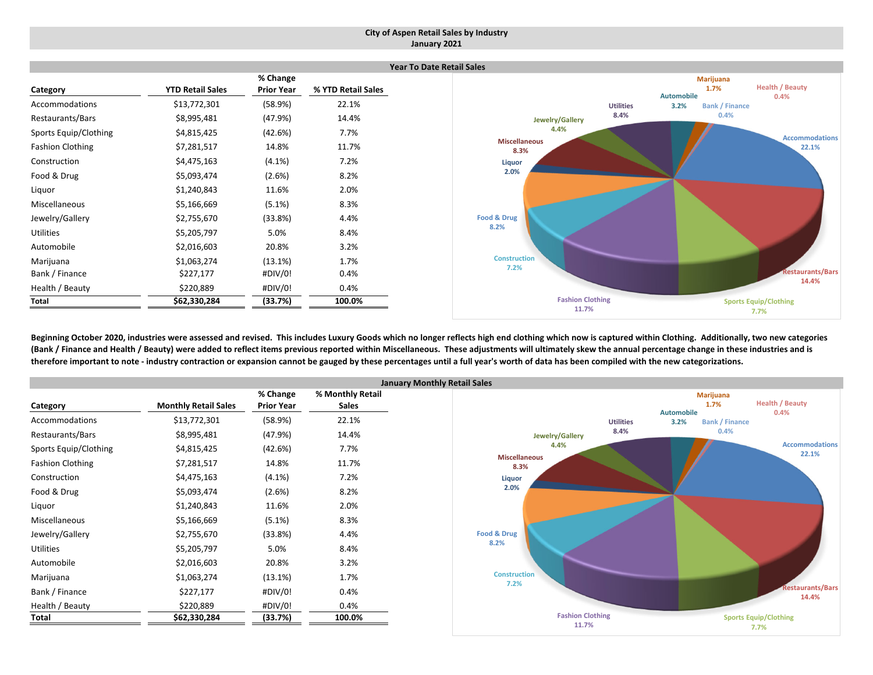### **City of Aspen Retail Sales by Industry January 2021**

|                         |                         |                               |                    | Yea |
|-------------------------|-------------------------|-------------------------------|--------------------|-----|
| Category                | <b>YTD Retail Sales</b> | % Change<br><b>Prior Year</b> | % YTD Retail Sales |     |
|                         |                         |                               |                    |     |
| Accommodations          | \$13,772,301            | (58.9%)                       | 22.1%              |     |
| Restaurants/Bars        | \$8,995,481             | (47.9%)                       | 14.4%              |     |
| Sports Equip/Clothing   | \$4,815,425             | (42.6%)                       | 7.7%               |     |
| <b>Fashion Clothing</b> | \$7,281,517             | 14.8%                         | 11.7%              |     |
| Construction            | \$4,475,163             | $(4.1\%)$                     | 7.2%               |     |
| Food & Drug             | \$5,093,474             | (2.6%)                        | 8.2%               |     |
| Liquor                  | \$1,240,843             | 11.6%                         | 2.0%               |     |
| Miscellaneous           | \$5,166,669             | $(5.1\%)$                     | 8.3%               |     |
| Jewelry/Gallery         | \$2,755,670             | (33.8%)                       | 4.4%               |     |
| <b>Utilities</b>        | \$5,205,797             | 5.0%                          | 8.4%               |     |
| Automobile              | \$2,016,603             | 20.8%                         | 3.2%               |     |
| Marijuana               | \$1,063,274             | (13.1%)                       | 1.7%               |     |
| Bank / Finance          | \$227,177               | #DIV/0!                       | 0.4%               |     |
| Health / Beauty         | \$220,889               | #DIV/0!                       | 0.4%               |     |
| Total                   | \$62,330,284            | (33.7%)                       | 100.0%             |     |



Beginning October 2020, industries were assessed and revised. This includes Luxury Goods which no longer reflects high end clothing which now is captured within Clothing. Additionally, two new categories (Bank / Finance and Health / Beauty) were added to reflect items previous reported within Miscellaneous. These adjustments will ultimately skew the annual percentage change in these industries and is therefore important to note - industry contraction or expansion cannot be gauged by these percentages until a full year's worth of data has been compiled with the new categorizations.

|                         |                             |                   | Janu             |
|-------------------------|-----------------------------|-------------------|------------------|
|                         |                             | % Change          | % Monthly Retail |
| Category                | <b>Monthly Retail Sales</b> | <b>Prior Year</b> | <b>Sales</b>     |
| Accommodations          | \$13,772,301                | (58.9%)           | 22.1%            |
| Restaurants/Bars        | \$8,995,481                 | (47.9%)           | 14.4%            |
| Sports Equip/Clothing   | \$4,815,425                 | (42.6%)           | 7.7%             |
| <b>Fashion Clothing</b> | \$7,281,517                 | 14.8%             | 11.7%            |
| Construction            | \$4,475,163                 | $(4.1\%)$         | 7.2%             |
| Food & Drug             | \$5,093,474                 | (2.6%)            | 8.2%             |
| Liquor                  | \$1,240,843                 | 11.6%             | 2.0%             |
| Miscellaneous           | \$5,166,669                 | $(5.1\%)$         | 8.3%             |
| Jewelry/Gallery         | \$2,755,670                 | (33.8%)           | 4.4%             |
| <b>Utilities</b>        | \$5,205,797                 | 5.0%              | 8.4%             |
| Automobile              | \$2,016,603                 | 20.8%             | 3.2%             |
| Marijuana               | \$1,063,274                 | (13.1%)           | 1.7%             |
| Bank / Finance          | \$227,177                   | #DIV/0!           | 0.4%             |
| Health / Beauty         | \$220,889                   | #DIV/0!           | 0.4%             |
| Total                   | \$62,330,284                | (33.7%)           | 100.0%           |

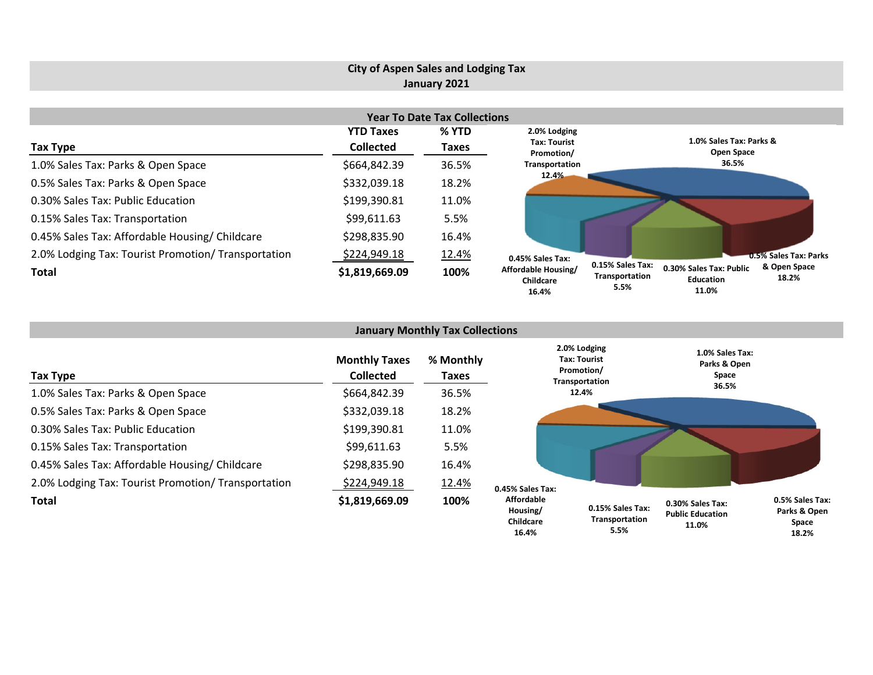#### **City of Aspen Sales and Lodging Tax January 2021 Year To Date Tax Collections Tax Type YTD Taxes Collected % YTD Taxes** 1.0% Sales Tax: Parks & Open Space \$664,842.39 36.5% 0.5% Sales Tax: Parks & Open Space \$332,039.18 18.2% 0.30% Sales Tax: Public Education \$199,390.81 11.0% 0.15% Sales Tax: Transportation  $$99,611.63$  5.5% 0.45% Sales Tax: Affordable Housing/ Childcare  $$298,835.90$  16.4% 2.0% Lodging Tax: Tourist Promotion/ Transportation  $$2.24,949.18$  12.4% **Total \$1,819,669.09 100% 1.0% Sales Tax: Parks & Open Space 36.5%0.5% Sales Tax: Parks & Open Space 18.2%0.30% Sales Tax: Public Education0.15% Sales Tax: Transportation 5.5%0.45% Sales Tax: Affordable Housing/ Childcare2.0% Lodging Tax: Tourist Promotion/ Transportation 12.4%**

|                                                     |                                          | <b>January Monthly Tax Collections</b> |                                            |                                                              |                                                      |                                          |
|-----------------------------------------------------|------------------------------------------|----------------------------------------|--------------------------------------------|--------------------------------------------------------------|------------------------------------------------------|------------------------------------------|
| Tax Type                                            | <b>Monthly Taxes</b><br><b>Collected</b> | % Monthly<br>Taxes                     |                                            | 2.0% Lodging<br>Tax: Tourist<br>Promotion/<br>Transportation | 1.0% Sales Tax:<br>Parks & Open<br>Space             |                                          |
| 1.0% Sales Tax: Parks & Open Space                  | \$664,842.39                             | 36.5%                                  |                                            | 12.4%                                                        | 36.5%                                                |                                          |
| 0.5% Sales Tax: Parks & Open Space                  | \$332,039.18                             | 18.2%                                  |                                            |                                                              |                                                      |                                          |
| 0.30% Sales Tax: Public Education                   | \$199,390.81                             | 11.0%                                  |                                            |                                                              |                                                      |                                          |
| 0.15% Sales Tax: Transportation                     | \$99,611.63                              | 5.5%                                   |                                            |                                                              |                                                      |                                          |
| 0.45% Sales Tax: Affordable Housing/ Childcare      | \$298,835.90                             | 16.4%                                  |                                            |                                                              |                                                      |                                          |
| 2.0% Lodging Tax: Tourist Promotion/ Transportation | <u>\$224,949.18</u>                      | 12.4%                                  | 0.45% Sales Tax:                           |                                                              |                                                      |                                          |
| <b>Total</b>                                        | \$1,819,669.09                           | 100%                                   | <b>Affordable</b><br>Housing/<br>Childcare | 0.15% Sales Tax:<br>Transportation                           | 0.30% Sales Tax:<br><b>Public Education</b><br>11 0% | 0.5% Sales Tax:<br>Parks & Open<br>Space |

**18.2%**

**11.0%**

**11.0%**

**5.5%**

**16.4%**

**16.4%**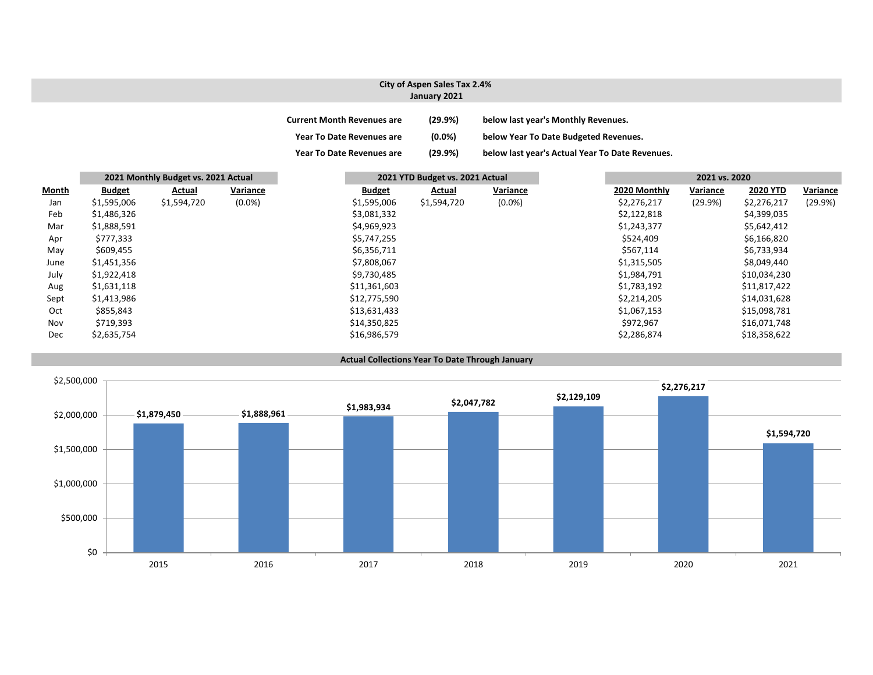### **City of Aspen Sales Tax 2.4% January 2021**

| <b>Current Month Revenues are</b> | (29.9%)   | below last year's Monthly Revenues.             |
|-----------------------------------|-----------|-------------------------------------------------|
| <b>Year To Date Revenues are</b>  | $(0.0\%)$ | below Year To Date Budgeted Revenues.           |
| <b>Year To Date Revenues are</b>  | (29.9%)   | below last year's Actual Year To Date Revenues. |

|              |               | 2021 Monthly Budget vs. 2021 Actual |           |               | 2021 YTD Budget vs. 2021 Actual |             |           |              |          | 2021 vs. 2020   |          |  |
|--------------|---------------|-------------------------------------|-----------|---------------|---------------------------------|-------------|-----------|--------------|----------|-----------------|----------|--|
| <b>Month</b> | <b>Budget</b> | Actual                              | Variance  | <b>Budget</b> |                                 | Actual      | Variance  | 2020 Monthly | Variance | <b>2020 YTD</b> | Variance |  |
| Jan          | \$1,595,006   | \$1,594,720                         | $(0.0\%)$ | \$1,595,006   |                                 | \$1,594,720 | $(0.0\%)$ | \$2,276,217  | (29.9%)  | \$2,276,217     | (29.9%)  |  |
| Feb          | \$1,486,326   |                                     |           | \$3,081,332   |                                 |             |           | \$2,122,818  |          | \$4,399,035     |          |  |
| Mar          | \$1,888,591   |                                     |           | \$4,969,923   |                                 |             |           | \$1,243,377  |          | \$5,642,412     |          |  |
| Apr          | \$777,333     |                                     |           | \$5,747,255   |                                 |             |           | \$524,409    |          | \$6,166,820     |          |  |
| May          | \$609,455     |                                     |           | \$6,356,711   |                                 |             |           | \$567,114    |          | \$6,733,934     |          |  |
| June         | \$1,451,356   |                                     |           | \$7,808,067   |                                 |             |           | \$1,315,505  |          | \$8,049,440     |          |  |
| July         | \$1,922,418   |                                     |           | \$9,730,485   |                                 |             |           | \$1,984,791  |          | \$10,034,230    |          |  |
| Aug          | \$1,631,118   |                                     |           | \$11,361,603  |                                 |             |           | \$1,783,192  |          | \$11,817,422    |          |  |
| Sept         | \$1,413,986   |                                     |           | \$12,775,590  |                                 |             |           | \$2,214,205  |          | \$14,031,628    |          |  |
| Oct          | \$855,843     |                                     |           | \$13,631,433  |                                 |             |           | \$1,067,153  |          | \$15,098,781    |          |  |
| Nov          | \$719,393     |                                     |           | \$14,350,825  |                                 |             |           | \$972,967    |          | \$16,071,748    |          |  |
| Dec          | \$2,635,754   |                                     |           | \$16,986,579  |                                 |             |           | \$2,286,874  |          | \$18,358,622    |          |  |

#### **Actual Collections Year To Date Through January**

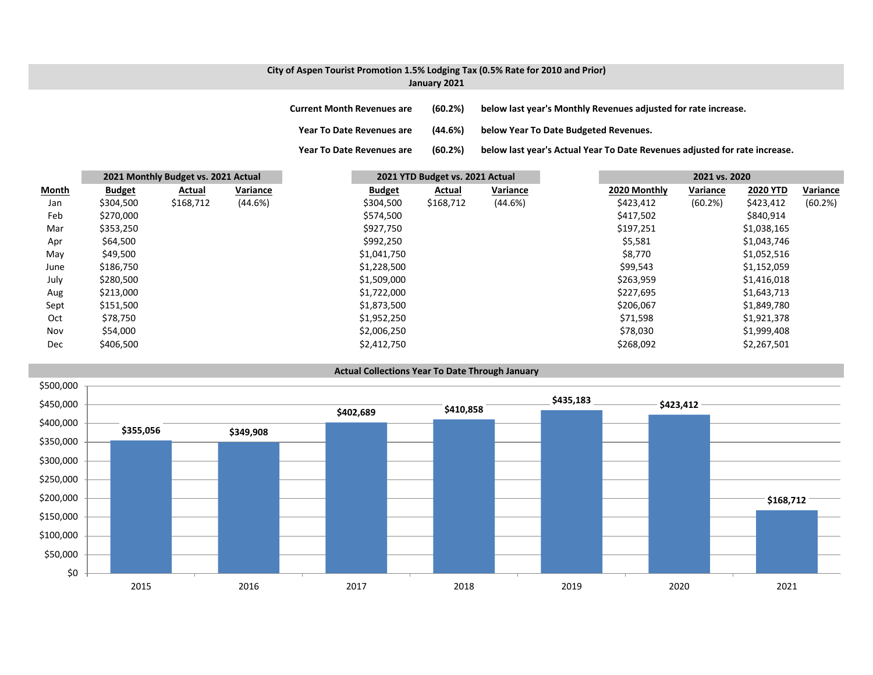### **City of Aspen Tourist Promotion 1.5% Lodging Tax (0.5% Rate for 2010 and Prior) January 2021**

**Current Month Revenues are (60.2%) below last year's Monthly Revenues adjusted for rate increase. Year ToDate Revenues are (44.6%) below Year To Date Budgeted Revenues.**

**Year To**

|              |               | 2021 Monthly Budget vs. 2021 Actual |          |               | 2021 YTD Budget vs. 2021 Actual |          |              | 2021 vs. 2020 |                 |          |
|--------------|---------------|-------------------------------------|----------|---------------|---------------------------------|----------|--------------|---------------|-----------------|----------|
| <b>Month</b> | <b>Budget</b> | <b>Actual</b>                       | Variance | <b>Budget</b> | <b>Actual</b>                   | Variance | 2020 Monthly | Variance      | <b>2020 YTD</b> | Variance |
| Jan          | \$304,500     | \$168,712                           | (44.6%)  | \$304,500     | \$168,712                       | (44.6%)  | \$423,412    | (60.2%)       | \$423,412       | (60.2%)  |
| Feb          | \$270,000     |                                     |          | \$574,500     |                                 |          | \$417,502    |               | \$840,914       |          |
| Mar          | \$353,250     |                                     |          | \$927,750     |                                 |          | \$197,251    |               | \$1,038,165     |          |
| Apr          | \$64,500      |                                     |          | \$992,250     |                                 |          | \$5,581      |               | \$1,043,746     |          |
| May          | \$49,500      |                                     |          | \$1,041,750   |                                 |          | \$8,770      |               | \$1,052,516     |          |
| June         | \$186,750     |                                     |          | \$1,228,500   |                                 |          | \$99,543     |               | \$1,152,059     |          |
| July         | \$280,500     |                                     |          | \$1,509,000   |                                 |          | \$263,959    |               | \$1,416,018     |          |
| Aug          | \$213,000     |                                     |          | \$1,722,000   |                                 |          | \$227,695    |               | \$1,643,713     |          |
| Sept         | \$151,500     |                                     |          | \$1,873,500   |                                 |          | \$206,067    |               | \$1,849,780     |          |
| Oct          | \$78,750      |                                     |          | \$1,952,250   |                                 |          | \$71,598     |               | \$1,921,378     |          |
| Nov          | \$54,000      |                                     |          | \$2,006,250   |                                 |          | \$78,030     |               | \$1,999,408     |          |
| Dec          | \$406,500     |                                     |          | \$2,412,750   |                                 |          | \$268,092    |               | \$2,267,501     |          |



(60.2%) below last year's Actual Year To Date Revenues adjusted for rate increase.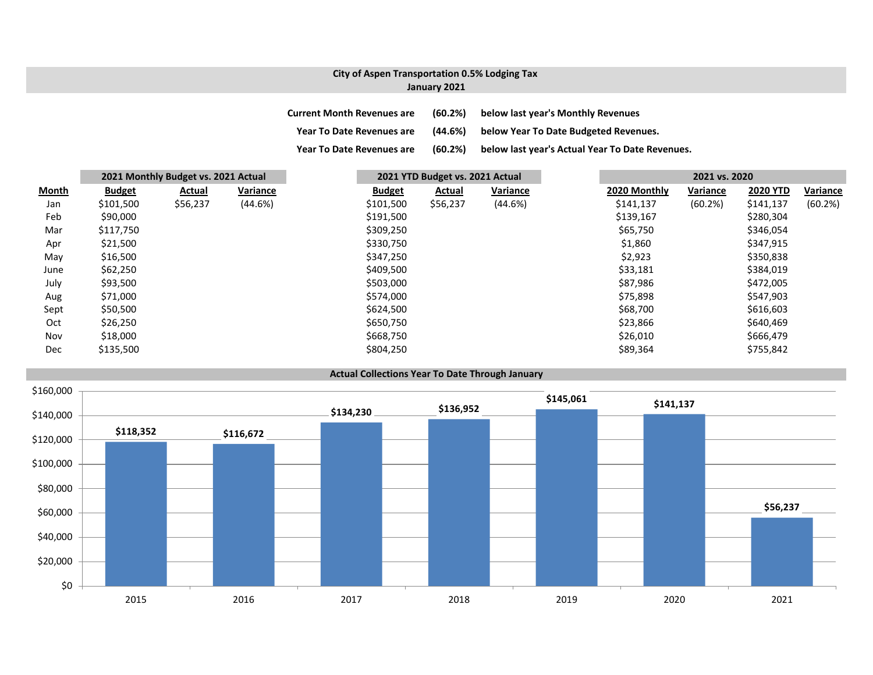## **City of Aspen Transportation 0.5% Lodging Tax January 2021**

| <b>Current Month Revenues are</b> | (60.2%) | below last year's Monthly Revenues              |
|-----------------------------------|---------|-------------------------------------------------|
| <b>Year To Date Revenues are</b>  | (44.6%) | below Year To Date Budgeted Revenues.           |
| <b>Year To Date Revenues are</b>  | (60.2%) | below last year's Actual Year To Date Revenues. |

|              |               | 2021 Monthly Budget vs. 2021 Actual |          |               | 2021 YTD Budget vs. 2021 Actual |          |              | 2021 vs. 2020 |                 |          |
|--------------|---------------|-------------------------------------|----------|---------------|---------------------------------|----------|--------------|---------------|-----------------|----------|
| <b>Month</b> | <b>Budget</b> | Actual                              | Variance | <b>Budget</b> | Actual                          | Variance | 2020 Monthly | Variance      | <b>2020 YTD</b> | Variance |
| Jan          | \$101,500     | \$56,237                            | (44.6%)  | \$101,500     | \$56,237                        | (44.6%)  | \$141,137    | (60.2%)       | \$141,137       | (60.2%)  |
| Feb          | \$90,000      |                                     |          | \$191,500     |                                 |          | \$139,167    |               | \$280,304       |          |
| Mar          | \$117,750     |                                     |          | \$309,250     |                                 |          | \$65,750     |               | \$346,054       |          |
| Apr          | \$21,500      |                                     |          | \$330,750     |                                 |          | \$1,860      |               | \$347,915       |          |
| May          | \$16,500      |                                     |          | \$347,250     |                                 |          | \$2,923      |               | \$350,838       |          |
| June         | \$62,250      |                                     |          | \$409,500     |                                 |          | \$33,181     |               | \$384,019       |          |
| July         | \$93,500      |                                     |          | \$503,000     |                                 |          | \$87,986     |               | \$472,005       |          |
| Aug          | \$71,000      |                                     |          | \$574,000     |                                 |          | \$75,898     |               | \$547,903       |          |
| Sept         | \$50,500      |                                     |          | \$624,500     |                                 |          | \$68,700     |               | \$616,603       |          |
| Oct          | \$26,250      |                                     |          | \$650,750     |                                 |          | \$23,866     |               | \$640,469       |          |
| Nov          | \$18,000      |                                     |          | \$668,750     |                                 |          | \$26,010     |               | \$666,479       |          |
| <b>Dec</b>   | \$135,500     |                                     |          | \$804,250     |                                 |          | \$89,364     |               | \$755,842       |          |

### **Actual Collections Year To Date Through January**

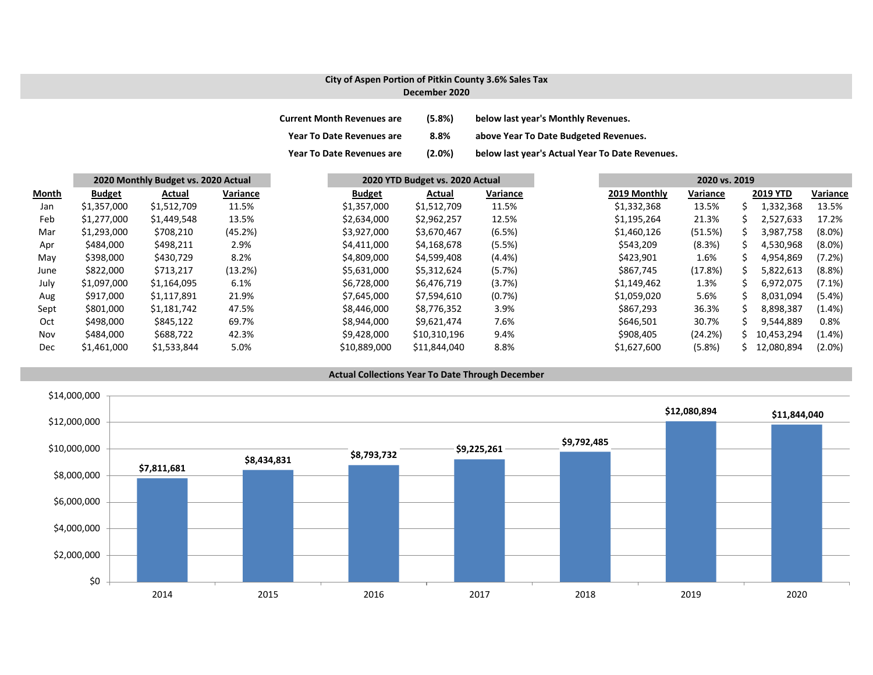### **City of Aspen Portion of Pitkin County 3.6% Sales Tax December 2020**

| <b>Current Month Revenues are</b> | (5.8%) | below last year's Monthly Revenues.             |
|-----------------------------------|--------|-------------------------------------------------|
| <b>Year To Date Revenues are</b>  | 8.8%   | above Year To Date Budgeted Revenues.           |
| <b>Year To Date Revenues are</b>  | (2.0%) | below last year's Actual Year To Date Revenues. |

|       |               | 2020 Monthly Budget vs. 2020 Actual |          | 2020 YTD Budget vs. 2020 Actual |              | 2020 vs. 2019 |              |          |    |                 |           |
|-------|---------------|-------------------------------------|----------|---------------------------------|--------------|---------------|--------------|----------|----|-----------------|-----------|
| Month | <b>Budget</b> | Actual                              | Variance | <b>Budget</b>                   | Actual       | Variance      | 2019 Monthly | Variance |    | <b>2019 YTD</b> | Variance  |
| Jan   | \$1,357,000   | \$1,512,709                         | 11.5%    | \$1,357,000                     | \$1,512,709  | 11.5%         | \$1,332,368  | 13.5%    |    | 1,332,368       | 13.5%     |
| Feb   | \$1,277,000   | \$1,449,548                         | 13.5%    | \$2,634,000                     | \$2,962,257  | 12.5%         | \$1,195,264  | 21.3%    | S  | 2,527,633       | 17.2%     |
| Mar   | \$1,293,000   | \$708,210                           | (45.2%)  | \$3,927,000                     | \$3,670,467  | (6.5%)        | \$1,460,126  | (51.5%)  | S  | 3,987,758       | $(8.0\%)$ |
| Apr   | \$484,000     | \$498,211                           | 2.9%     | \$4,411,000                     | \$4,168,678  | (5.5%)        | \$543,209    | (8.3%)   | S. | 4,530,968       | $(8.0\%)$ |
| May   | \$398,000     | \$430,729                           | 8.2%     | \$4,809,000                     | \$4,599,408  | (4.4% )       | \$423,901    | 1.6%     |    | 4,954,869       | (7.2%)    |
| June  | \$822,000     | \$713,217                           | (13.2%)  | \$5,631,000                     | \$5,312,624  | (5.7%)        | \$867,745    | (17.8%)  |    | 5,822,613       | (8.8%)    |
| July  | \$1,097,000   | \$1,164,095                         | 6.1%     | \$6,728,000                     | \$6,476,719  | (3.7%)        | \$1,149,462  | 1.3%     |    | 6,972,075       | $(7.1\%)$ |
| Aug   | \$917,000     | \$1,117,891                         | 21.9%    | \$7,645,000                     | \$7,594,610  | (0.7%)        | \$1,059,020  | 5.6%     | S. | 8,031,094       | $(5.4\%)$ |
| Sept  | \$801,000     | \$1,181,742                         | 47.5%    | \$8,446,000                     | \$8,776,352  | 3.9%          | \$867,293    | 36.3%    | ς  | 8,898,387       | $(1.4\%)$ |
| Oct   | \$498,000     | \$845,122                           | 69.7%    | \$8,944,000                     | \$9,621,474  | 7.6%          | \$646,501    | 30.7%    |    | 9,544,889       | 0.8%      |
| Nov   | \$484,000     | \$688.722                           | 42.3%    | \$9,428,000                     | \$10,310,196 | 9.4%          | \$908,405    | (24.2%)  |    | 10.453.294      | $(1.4\%)$ |
| Dec   | \$1,461,000   | \$1,533,844                         | 5.0%     | \$10,889,000                    | \$11,844,040 | 8.8%          | \$1,627,600  | (5.8%)   | S. | 12,080,894      | $(2.0\%)$ |

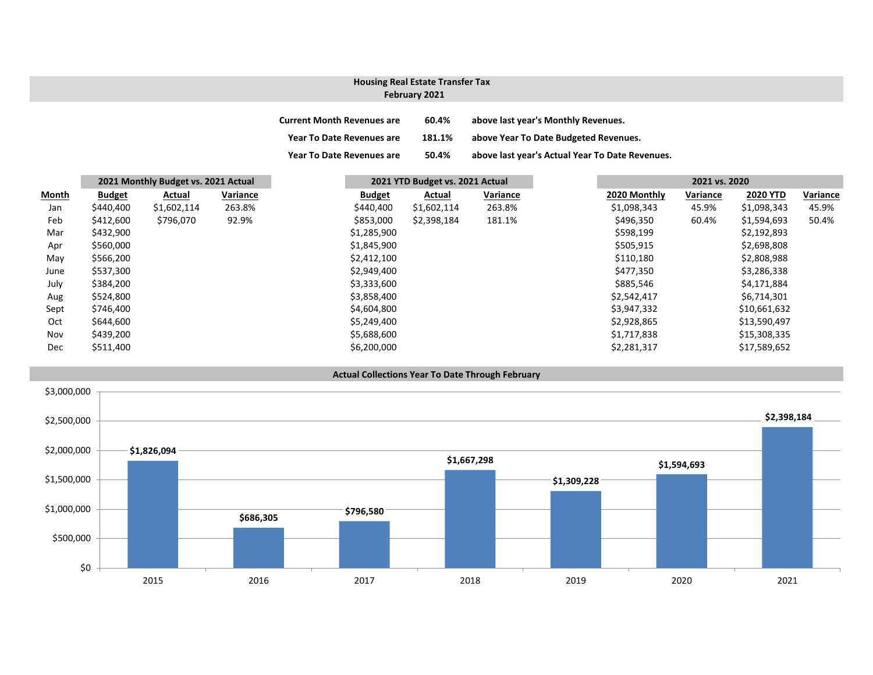## **February 2021 Housing Real Estate Transfer Tax**

| <b>Current Month Revenues are</b> | 60.4%  | above last year's Monthly Revenues.             |
|-----------------------------------|--------|-------------------------------------------------|
| <b>Year To Date Revenues are</b>  | 181.1% | above Year To Date Budgeted Revenues.           |
| <b>Year To Date Revenues are</b>  | 50.4%  | above last year's Actual Year To Date Revenues. |

| <b>Month</b><br>Jan | 2021 Monthly Budget vs. 2021 Actual |             |          |               | 2021 YTD Budget vs. 2021 Actual |             |          | 2021 vs. 2020 |          |                 |          |
|---------------------|-------------------------------------|-------------|----------|---------------|---------------------------------|-------------|----------|---------------|----------|-----------------|----------|
|                     | <b>Budget</b>                       | Actual      | Variance | <b>Budget</b> |                                 | Actual      | Variance | 2020 Monthly  | Variance | <b>2020 YTD</b> | Variance |
|                     | \$440,400                           | \$1,602,114 | 263.8%   | \$440,400     |                                 | \$1,602,114 | 263.8%   | \$1,098,343   | 45.9%    | \$1,098,343     | 45.9%    |
| Feb                 | \$412,600                           | \$796,070   | 92.9%    | \$853,000     |                                 | \$2,398,184 | 181.1%   | \$496,350     | 60.4%    | \$1,594,693     | 50.4%    |
| Mar                 | \$432,900                           |             |          | \$1,285,900   |                                 |             |          | \$598,199     |          | \$2,192,893     |          |
| Apr                 | \$560,000                           |             |          | \$1,845,900   |                                 |             |          | \$505,915     |          | \$2,698,808     |          |
| May                 | \$566,200                           |             |          | \$2,412,100   |                                 |             |          | \$110,180     |          | \$2,808,988     |          |
| June                | \$537,300                           |             |          | \$2,949,400   |                                 |             |          | \$477,350     |          | \$3,286,338     |          |
| July                | \$384,200                           |             |          | \$3,333,600   |                                 |             |          | \$885,546     |          | \$4,171,884     |          |
| Aug                 | \$524,800                           |             |          | \$3,858,400   |                                 |             |          | \$2,542,417   |          | \$6,714,301     |          |
| Sept                | \$746,400                           |             |          | \$4,604,800   |                                 |             |          | \$3,947,332   |          | \$10,661,632    |          |
| Oct                 | \$644,600                           |             |          | \$5,249,400   |                                 |             |          | \$2,928,865   |          | \$13,590,497    |          |
| Nov                 | \$439,200                           |             |          | \$5,688,600   |                                 |             |          | \$1,717,838   |          | \$15,308,335    |          |
| Dec                 | \$511,400                           |             |          | \$6,200,000   |                                 |             |          | \$2,281,317   |          | \$17,589,652    |          |